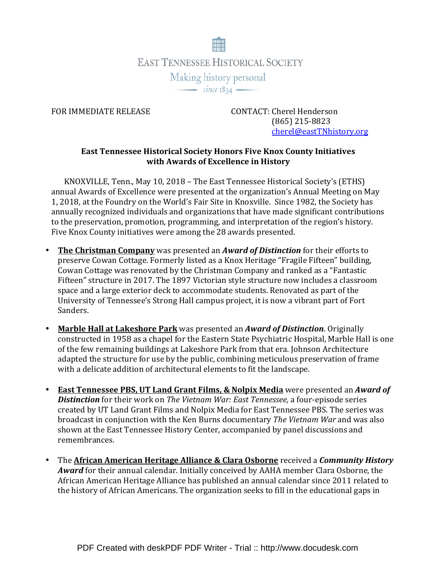

FOR IMMEDIATE RELEASE CONTACT: Cherel Henderson (865) 215-8823 cherel@eastTNhistory.org

## East Tennessee Historical Society Honors Five Knox County Initiatives with Awards of Excellence in History

KNOXVILLE, Tenn., May 10, 2018 – The East Tennessee Historical Society's (ETHS) annual Awards of Excellence were presented at the organization's Annual Meeting on May 1, 2018, at the Foundry on the World's Fair Site in Knoxville. Since 1982, the Society has annually recognized individuals and organizations that have made significant contributions to the preservation, promotion, programming, and interpretation of the region's history. Five Knox County initiatives were among the 28 awards presented.

- The Christman Company was presented an Award of Distinction for their efforts to preserve Cowan Cottage. Formerly listed as a Knox Heritage "Fragile Fifteen" building, Cowan Cottage was renovated by the Christman Company and ranked as a "Fantastic Fifteen" structure in 2017. The 1897 Victorian style structure now includes a classroom space and a large exterior deck to accommodate students. Renovated as part of the University of Tennessee's Strong Hall campus project, it is now a vibrant part of Fort Sanders.
- Marble Hall at Lakeshore Park was presented an *Award of Distinction*. Originally constructed in 1958 as a chapel for the Eastern State Psychiatric Hospital, Marble Hall is one of the few remaining buildings at Lakeshore Park from that era. Johnson Architecture adapted the structure for use by the public, combining meticulous preservation of frame with a delicate addition of architectural elements to fit the landscape.
- East Tennessee PBS, UT Land Grant Films, & Nolpix Media were presented an Award of Distinction for their work on The Vietnam War: East Tennessee, a four-episode series created by UT Land Grant Films and Nolpix Media for East Tennessee PBS. The series was broadcast in conjunction with the Ken Burns documentary The Vietnam War and was also shown at the East Tennessee History Center, accompanied by panel discussions and remembrances.
- The African American Heritage Alliance & Clara Osborne received a *Community History* Award for their annual calendar. Initially conceived by AAHA member Clara Osborne, the African American Heritage Alliance has published an annual calendar since 2011 related to the history of African Americans. The organization seeks to fill in the educational gaps in